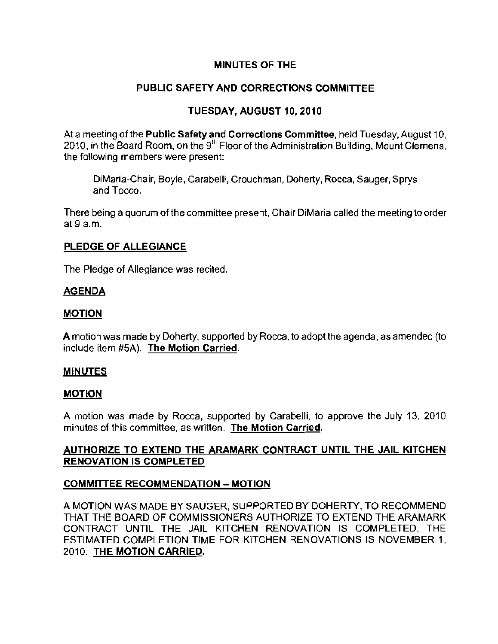### MINUTES OF THE

# PUBLIC SAFETY AND CORRECTIONS COMMITTEE

## TUESDAY, AUGUST 10, 2010

At a meeting of the P**ublic Safety and Corrections Committee**, held Tuesday, August 10, 2010, in the Board Room, on the 9<sup>th</sup> Floor of the Administration Building, Mount Clemens, the following members were present:

DiMaria-Chair, Boyle, Carabelli, Crouchman, Doherty, Rocca, Sauger, Sprys **and Tocco.** 

There being a quorum of the committee present, Chair DiMaria called the meeting to order at 9 a.m.

#### PLEDGE OF ALLEGIANCE

The Pledge of Allegiance was recited.

### AGENDA

#### MOTION

A motion was made by Doherty, supported by Rocca, to adopt the agenda, as amended (to include item #5A). The Motion Carried.

#### MINUTES

#### MOTION

A motion was made by Rocca, supported by Carabelli, to approve the July 13, 2010 **minutes of this committee, as written. The Motion Carried.** 

## AUTHORIZE TO EXTEND THE ARAMARK CONTRACT UNTIL THE JAIL KITCHEN RENOVATION IS COMPLETED

### COMMITTEE RECOMMENDATION - MOTION

A MOTION WAS MADE BY SAUGER, SUPPORTED BY DOHERTY, TO RECOMMEND THAT THE BOARD OF COMMISSIONERS AUTHORIZE TO EXTEND THE ARAMARK CONTRACT UNTIL THE JAIL KITCHEN RENOVATION IS COMPLETED. THE ESTIMATED COMPLETION TIME FOR KITCHEN RENOVATIONS IS NOVEMBER 1, 2010. THE MOTION CARRIED.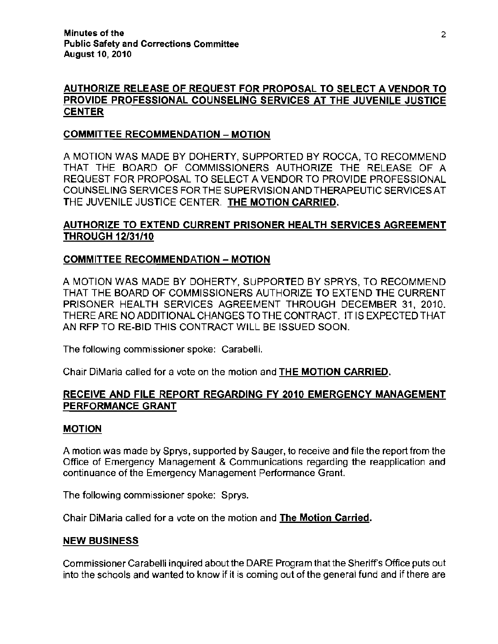# AUTHORIZE RELEASE OF REQUEST FOR PROPOSAL TO SELECT A VENDOR TO PROVIDE PROFESSIONAL COUNSELING SERVICES AT THE JUVENILE JUSTICE **CENTER**

### COMMITTEE RECOMMENDATION - MOTION

A MOTION WAS MADE BY DOHERTY, SUPPORTED BY ROCCA, TO RECOMMEND THAT THE BOARD OF COMMISSIONERS AUTHORIZE THE RELEASE OF A REQUEST FOR PROPOSAL TO SELECT A VENDOR TO PROVIDE PROFESSIONAL COUNSELING SERVICES FOR THE SUPERVISION AND THERAPEUTIC SERVICES AT THE JUVENILE JUSTICE CENTER. THE MOTION CARRIED.

# AUTHORIZE TO EXTEND CURRENT PRISONER HEALTH SERVICES AGREEMENT THROUGH 12/31/10

# COMMITTEE RECOMMENDATION - MOTION

A MOTION WAS MADE BY DOHERTY, SUPPORTED BY SPRYS, TO RECOMMEND THAT THE BOARD OF COMMISSIONERS AUTHORIZE TO EXTEND THE CURRENT PRISONER HEALTH SERVICES AGREEMENT THROUGH DECEMBER 31, 2010. THERE ARE NO ADDITIONAL CHANGES TO THE CONTRACT. IT IS EXPECTED THAT AN RFP TO RE-BID THIS CONTRACT WILL BE ISSUED SOON.

The following commissioner spoke: Carabelli.

Chair DiMaria called for a vote on the motion and THE MOTION CARRIED.

# RECEIVE AND FILE REPORT REGARDING FY 2010 EMERGENCY MANAGEMENT PERFORMANCE GRANT

### MOTION

A motion was made by Sprys, supported by Sauger, to receive and file the report from the Office of Emergency Management & Communications regarding the reapplication and continuance of the Emergency Management Performance Grant.

The following commissioner spoke: Sprys.

Chair DiMaria called for a vote on the motion and **The Motion Carried.** 

### NEW BUSINESS

Commissioner Carabelli inquired about the DARE Program that the Sheriffs Office puts out into the schools and wanted to know if it is coming out of the general fund and if there are